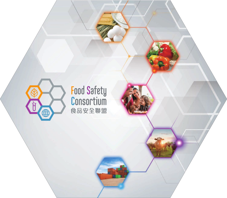

# Food Safety<br>Consortium<br><sup>食品安全聯盟</sup>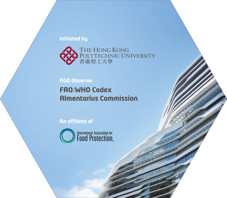#### **Initiated by**



### **NGO Observer FAO**/**WHO Codex Almentarius Commission**

**An affiliate of** 

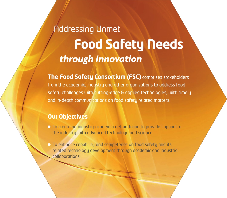# *through Innovation* **Food Safety Needs**  Addressing Unmet

**The Food Safety Consortium (FSC)** comprises stakeholders from the academia, industry and other organizations to address food safety challenges with cutting-edge & applied technologies, with timely and in-depth communications on food safety related matters.

### **Our Objectives**

- To create an industry-academia network and to provide support to the industry with advanced technology and science
- To enhance capability and competence on food safety and its related technology development through academic and industrial collaborations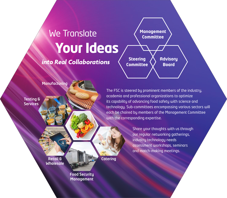# **Your Ideas** We Translate

### *into Real Collaborations*

**Management Committee**

**Steering Committee**

**Advisory Board**

Manufacturing

Testing & **Services** 

The FSC is steered by prominent members of the industry, academia and professional organizations to optimize its capability of advancing food safety with science and technology. Sub-committees encompassing various sectors will each be chaired by members of the Management Committee with the corresponding expertise.

> Share your thoughts with us through our regular networking gatherings, industry technology needs assessment workshops, seminars and match-making meetings.

Retail & Wholesale **Catering** 

Food Security Management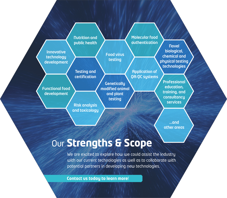

### Our **Strengths & Scope**

We are excited to explore how we could assist the industry with our current technologies as well as to collaborate with potential partners in developing new technologies.

**Contact us today to learn more**!